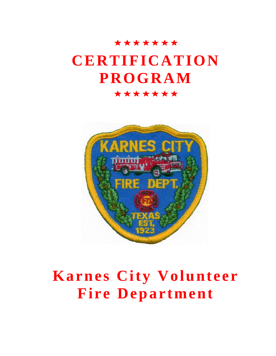# \*\*\*\*\*\*\* **CERTIFICATION PROGRAM**  \*\*\*\*\*\*\*



# **Karnes City Volunteer Fire Department**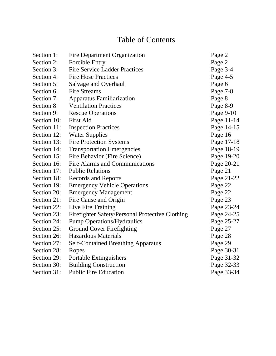# Table of Contents

| Section 1:  | <b>Fire Department Organization</b>             | Page 2     |
|-------------|-------------------------------------------------|------------|
| Section 2:  | <b>Forcible Entry</b>                           | Page 2     |
| Section 3:  | <b>Fire Service Ladder Practices</b>            | Page 3-4   |
| Section 4:  | <b>Fire Hose Practices</b>                      | Page 4-5   |
| Section 5:  | Salvage and Overhaul                            | Page 6     |
| Section 6:  | <b>Fire Streams</b>                             | Page 7-8   |
| Section 7:  | <b>Apparatus Familiarization</b>                | Page 8     |
| Section 8:  | <b>Ventilation Practices</b>                    | Page 8-9   |
| Section 9:  | <b>Rescue Operations</b>                        | Page 9-10  |
| Section 10: | <b>First Aid</b>                                | Page 11-14 |
| Section 11: | <b>Inspection Practices</b>                     | Page 14-15 |
| Section 12: | <b>Water Supplies</b>                           | Page 16    |
| Section 13: | <b>Fire Protection Systems</b>                  | Page 17-18 |
| Section 14: | <b>Transportation Emergencies</b>               | Page 18-19 |
| Section 15: | Fire Behavior (Fire Science)                    | Page 19-20 |
| Section 16: | Fire Alarms and Communications                  | Page 20-21 |
| Section 17: | <b>Public Relations</b>                         | Page 21    |
| Section 18: | <b>Records and Reports</b>                      | Page 21-22 |
| Section 19: | <b>Emergency Vehicle Operations</b>             | Page 22    |
| Section 20: | <b>Emergency Management</b>                     | Page 22    |
| Section 21: | Fire Cause and Origin                           | Page 23    |
| Section 22: | Live Fire Training                              | Page 23-24 |
| Section 23: | Firefighter Safety/Personal Protective Clothing | Page 24-25 |
| Section 24: | <b>Pump Operations/Hydraulics</b>               | Page 25-27 |
| Section 25: | <b>Ground Cover Firefighting</b>                | Page 27    |
| Section 26: | <b>Hazardous Materials</b>                      | Page 28    |
| Section 27: | <b>Self-Contained Breathing Apparatus</b>       | Page 29    |
| Section 28: | Ropes                                           | Page 30-31 |
| Section 29: | Portable Extinguishers                          | Page 31-32 |
| Section 30: | <b>Building Construction</b>                    | Page 32-33 |
| Section 31: | <b>Public Fire Education</b>                    | Page 33-34 |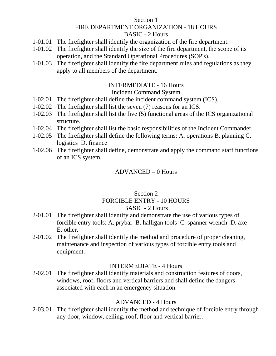## Section 1 FIRE DEPARTMENT ORGANIZATION - 18 HOURS BASIC - 2 Hours

- 1-01.01 The firefighter shall identify the organization of the fire department.
- 1-01.02 The firefighter shall identify the size of the fire department, the scope of its operation, and the Standard Operational Procedures (SOP's).
- 1-01.03 The firefighter shall identify the fire department rules and regulations as they apply to all members of the department.

#### INTERMEDIATE - 16 Hours

### Incident Command System

- 1-02.01 The firefighter shall define the incident command system (ICS).
- 1-02.02 The firefighter shall list the seven (7) reasons for an ICS.
- 1-02.03 The firefighter shall list the five (5) functional areas of the ICS organizational structure.
- 1-02.04 The firefighter shall list the basic responsibilities of the Incident Commander.
- 1-02.05 The firefighter shall define the following terms: A. operations B. planning C. logistics D. finance
- 1-02.06 The firefighter shall define, demonstrate and apply the command staff functions of an ICS system.

### ADVANCED – 0 Hours

### Section 2 FORCIBLE ENTRY - 10 HOURS BASIC - 2 Hours

- 2-01.01 The firefighter shall identify and demonstrate the use of various types of forcible entry tools: A. prybar B. halligan tools C. spanner wrench D. axe E. other.
- 2-01.02 The firefighter shall identify the method and procedure of proper cleaning, maintenance and inspection of various types of forcible entry tools and equipment.

### INTERMEDIATE - 4 Hours

2-02.01 The firefighter shall identify materials and construction features of doors, windows, roof, floors and vertical barriers and shall define the dangers associated with each in an emergency situation.

# ADVANCED - 4 Hours

2-03.01 The firefighter shall identify the method and technique of forcible entry through any door, window, ceiling, roof, floor and vertical barrier.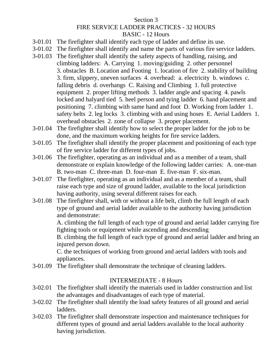# Section 3 FIRE SERVICE LADDER PRACTICES - 32 HOURS BASIC - 12 Hours

- 3-01.01 The firefighter shall identify each type of ladder and define its use.
- 3-01.02 The firefighter shall identify and name the parts of various fire service ladders.
- 3-01.03 The firefighter shall identify the safety aspects of handling, raising, and climbing ladders: A. Carrying 1. moving/guiding 2. other personnel 3. obstacles B. Location and Footing 1. location of fire 2. stability of building 3. firm, slippery, uneven surfaces 4. overhead: a. electricity b. windows c. falling debris d. overhangs C. Raising and Climbing 1. full protective equipment 2. proper lifting methods 3. ladder angle and spacing 4. pawls locked and halyard tied 5. heel person and tying ladder 6. hand placement and positioning 7. climbing with same hand and foot D. Working from ladder 1. safety belts 2. leg locks 3. climbing with and using hoses E. Aerial Ladders 1. overhead obstacles 2. zone of collapse 3. proper placement.
- 3-01.04 The firefighter shall identify how to select the proper ladder for the job to be done, and the maximum working heights for fire service ladders.
- 3-01.05 The firefighter shall identify the proper placement and positioning of each type of fire service ladder for different types of jobs.
- 3-01.06 The firefighter, operating as an individual and as a member of a team, shall demonstrate or explain knowledge of the following ladder carries: A. one-man B. two-man C. three-man D. four-man E. five-man F. six-man.
- 3-01.07 The firefighter, operating as an individual and as a member of a team, shall raise each type and size of ground ladder, available to the local jurisdiction having authority, using several different raises for each.
- 3-01.08 The firefighter shall, with or without a life belt, climb the full length of each type of ground and aerial ladder available to the authority having jurisdiction and demonstrate:

A. climbing the full length of each type of ground and aerial ladder carrying fire fighting tools or equipment while ascending and descending

B. climbing the full length of each type of ground and aerial ladder and bring an injured person down.

C. the techniques of working from ground and aerial ladders with tools and appliances.

3-01.09 The firefighter shall demonstrate the technique of cleaning ladders.

# INTERMEDIATE - 8 Hours

- 3-02.01 The firefighter shall identify the materials used in ladder construction and list the advantages and disadvantages of each type of material.
- 3-02.02 The firefighter shall identify the load safety features of all ground and aerial ladders.
- 3-02.03 The firefighter shall demonstrate inspection and maintenance techniques for different types of ground and aerial ladders available to the local authority having jurisdiction.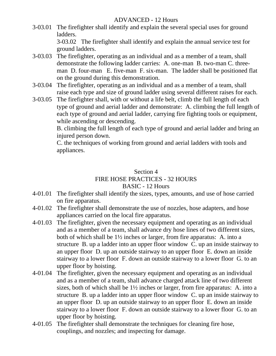# ADVANCED - 12 Hours

3-03.01 The firefighter shall identify and explain the several special uses for ground ladders.

3-03.02 The firefighter shall identify and explain the annual service test for ground ladders.

- 3-03.03 The firefighter, operating as an individual and as a member of a team, shall demonstrate the following ladder carries: A. one-man B. two-man C. threeman D. four-man E. five-man F. six-man. The ladder shall be positioned flat on the ground during this demonstration.
- 3-03.04 The firefighter, operating as an individual and as a member of a team, shall raise each type and size of ground ladder using several different raises for each.
- 3-03.05 The firefighter shall, with or without a life belt, climb the full length of each type of ground and aerial ladder and demonstrate: A. climbing the full length of each type of ground and aerial ladder, carrying fire fighting tools or equipment, while ascending or descending.

B. climbing the full length of each type of ground and aerial ladder and bring an injured person down.

C. the techniques of working from ground and aerial ladders with tools and appliances.

# Section 4 FIRE HOSE PRACTICES - 32 HOURS BASIC - 12 Hours

- 4-01.01 The firefighter shall identify the sizes, types, amounts, and use of hose carried on fire apparatus.
- 4-01.02 The firefighter shall demonstrate the use of nozzles, hose adapters, and hose appliances carried on the local fire apparatus.
- 4-01.03 The firefighter, given the necessary equipment and operating as an individual and as a member of a team, shall advance dry hose lines of two different sizes, both of which shall be 1½ inches or larger, from fire apparatus: A. into a structure B. up a ladder into an upper floor window C. up an inside stairway to an upper floor D. up an outside stairway to an upper floor E. down an inside stairway to a lower floor F. down an outside stairway to a lower floor G. to an upper floor by hoisting.
- 4-01.04 The firefighter, given the necessary equipment and operating as an individual and as a member of a team, shall advance charged attack line of two different sizes, both of which shall be  $1\frac{1}{2}$  inches or larger, from fire apparatus: A. into a structure B. up a ladder into an upper floor window C. up an inside stairway to an upper floor D. up an outside stairway to an upper floor E. down an inside stairway to a lower floor F. down an outside stairway to a lower floor G. to an upper floor by hoisting.
- 4-01.05 The firefighter shall demonstrate the techniques for cleaning fire hose, couplings, and nozzles; and inspecting for damage.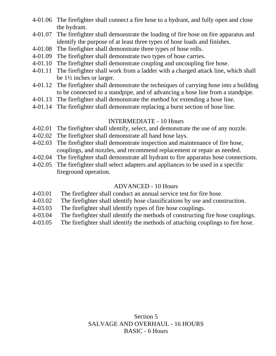- 4-01.06 The firefighter shall connect a fire hose to a hydrant, and fully open and close the hydrant.
- 4-01.07 The firefighter shall demonstrate the loading of fire hose on fire apparatus and identify the purpose of at least three types of hose loads and finishes.
- 4-01.08 The firefighter shall demonstrate three types of hose rolls.
- 4-01.09 The firefighter shall demonstrate two types of hose carries.
- 4-01.10 The firefighter shall demonstrate coupling and uncoupling fire hose.
- 4-01.11 The firefighter shall work from a ladder with a charged attack line, which shall be 1½ inches or larger.
- 4-01.12 The firefighter shall demonstrate the techniques of carrying hose into a building to be connected to a standpipe, and of advancing a hose line from a standpipe.
- 4-01.13 The firefighter shall demonstrate the method for extending a hose line.
- 4-01.14 The firefighter shall demonstrate replacing a burst section of hose line.

### INTERMEDIATE - 10 Hours

- 4-02.01 The firefighter shall identify, select, and demonstrate the use of any nozzle.
- 4-02.02 The firefighter shall demonstrate all hand hose lays.
- 4-02.03 The firefighter shall demonstrate inspection and maintenance of fire hose, couplings, and nozzles, and recommend replacement or repair as needed.
- 4-02.04 The firefighter shall demonstrate all hydrant to fire apparatus hose connections.
- 4-02.05 The firefighter shall select adapters and appliances to be used in a specific fireground operation.

# ADVANCED - 10 Hours

- 4-03.01 The firefighter shall conduct an annual service test for fire hose.
- 4-03.02 The firefighter shall identify hose classifications by use and construction.
- 4-03.03 The firefighter shall identify types of fire hose couplings.
- 4-03.04 The firefighter shall identify the methods of constructing fire hose couplings.
- 4-03.05 The firefighter shall identify the methods of attaching couplings to fire hose.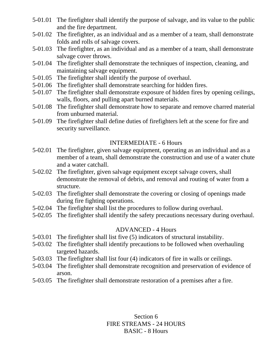- 5-01.01 The firefighter shall identify the purpose of salvage, and its value to the public and the fire department.
- 5-01.02 The firefighter, as an individual and as a member of a team, shall demonstrate folds and rolls of salvage covers.
- 5-01.03 The firefighter, as an individual and as a member of a team, shall demonstrate salvage cover throws.
- 5-01.04 The firefighter shall demonstrate the techniques of inspection, cleaning, and maintaining salvage equipment.
- 5-01.05 The firefighter shall identify the purpose of overhaul.
- 5-01.06 The firefighter shall demonstrate searching for hidden fires.
- 5-01.07 The firefighter shall demonstrate exposure of hidden fires by opening ceilings, walls, floors, and pulling apart burned materials.
- 5-01.08 The firefighter shall demonstrate how to separate and remove charred material from unburned material.
- 5-01.09 The firefighter shall define duties of firefighters left at the scene for fire and security surveillance.

# INTERMEDIATE - 6 Hours

- 5-02.01 The firefighter, given salvage equipment, operating as an individual and as a member of a team, shall demonstrate the construction and use of a water chute and a water catchall.
- 5-02.02 The firefighter, given salvage equipment except salvage covers, shall demonstrate the removal of debris, and removal and routing of water from a structure.
- 5-02.03 The firefighter shall demonstrate the covering or closing of openings made during fire fighting operations.
- 5-02.04 The firefighter shall list the procedures to follow during overhaul.
- 5-02.05 The firefighter shall identify the safety precautions necessary during overhaul.

# ADVANCED - 4 Hours

- 5-03.01 The firefighter shall list five (5) indicators of structural instability.
- 5-03.02 The firefighter shall identify precautions to be followed when overhauling targeted hazards.
- 5-03.03 The firefighter shall list four (4) indicators of fire in walls or ceilings.
- 5-03.04 The firefighter shall demonstrate recognition and preservation of evidence of arson.
- 5-03.05 The firefighter shall demonstrate restoration of a premises after a fire.

Section 6 FIRE STREAMS - 24 HOURS BASIC - 8 Hours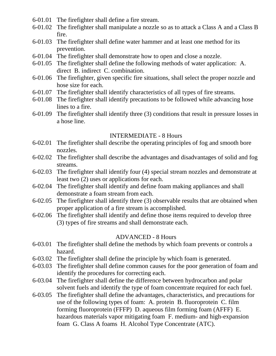- 6-01.01 The firefighter shall define a fire stream.
- 6-01.02 The firefighter shall manipulate a nozzle so as to attack a Class A and a Class B fire.
- 6-01.03 The firefighter shall define water hammer and at least one method for its prevention.
- 6-01.04 The firefighter shall demonstrate how to open and close a nozzle.
- 6-01.05 The firefighter shall define the following methods of water application: A. direct B. indirect C. combination.
- 6-01.06 The firefighter, given specific fire situations, shall select the proper nozzle and hose size for each.
- 6-01.07 The firefighter shall identify characteristics of all types of fire streams.
- 6-01.08 The firefighter shall identify precautions to be followed while advancing hose lines to a fire.
- 6-01.09 The firefighter shall identify three (3) conditions that result in pressure losses in a hose line.

#### INTERMEDIATE - 8 Hours

- 6-02.01 The firefighter shall describe the operating principles of fog and smooth bore nozzles.
- 6-02.02 The firefighter shall describe the advantages and disadvantages of solid and fog streams.
- 6-02.03 The firefighter shall identify four (4) special stream nozzles and demonstrate at least two (2) uses or applications for each.
- 6-02.04 The firefighter shall identify and define foam making appliances and shall demonstrate a foam stream from each.
- 6-02.05 The firefighter shall identify three (3) observable results that are obtained when proper application of a fire stream is accomplished.
- 6-02.06 The firefighter shall identify and define those items required to develop three (3) types of fire streams and shall demonstrate each.

# ADVANCED - 8 Hours

- 6-03.01 The firefighter shall define the methods by which foam prevents or controls a hazard.
- 6-03.02 The firefighter shall define the principle by which foam is generated.
- 6-03.03 The firefighter shall define common causes for the poor generation of foam and identify the procedures for correcting each.
- 6-03.04 The firefighter shall define the difference between hydrocarbon and polar solvent fuels and identify the type of foam concentrate required for each fuel.
- 6-03.05 The firefighter shall define the advantages, characteristics, and precautions for use of the following types of foam: A. protein B. fluoroprotein C. film forming fluoroprotein (FFFP) D. aqueous film forming foam (AFFF) E. hazardous materials vapor mitigating foam F. medium- and high-expansion foam G. Class A foams H. Alcohol Type Concentrate (ATC).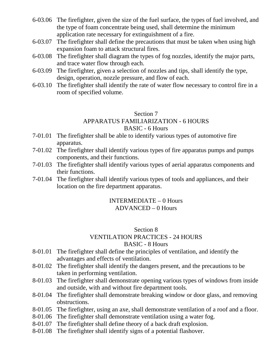- 6-03.06 The firefighter, given the size of the fuel surface, the types of fuel involved, and the type of foam concentrate being used, shall determine the minimum application rate necessary for extinguishment of a fire.
- 6-03.07 The firefighter shall define the precautions that must be taken when using high expansion foam to attack structural fires.
- 6-03.08 The firefighter shall diagram the types of fog nozzles, identify the major parts, and trace water flow through each.
- 6-03.09 The firefighter, given a selection of nozzles and tips, shall identify the type, design, operation, nozzle pressure, and flow of each.
- 6-03.10 The firefighter shall identify the rate of water flow necessary to control fire in a room of specified volume.

# Section 7 APPARATUS FAMILIARIZATION - 6 HOURS BASIC - 6 Hours

- 7-01.01 The firefighter shall be able to identify various types of automotive fire apparatus.
- 7-01.02 The firefighter shall identify various types of fire apparatus pumps and pumps components, and their functions.
- 7-01.03 The firefighter shall identify various types of aerial apparatus components and their functions.
- 7-01.04 The firefighter shall identify various types of tools and appliances, and their location on the fire department apparatus.

# INTERMEDIATE – 0 Hours ADVANCED – 0 Hours

### Section 8 VENTILATION PRACTICES - 24 HOURS BASIC - 8 Hours

- 8-01.01 The firefighter shall define the principles of ventilation, and identify the advantages and effects of ventilation.
- 8-01.02 The firefighter shall identify the dangers present, and the precautions to be taken in performing ventilation.
- 8-01.03 The firefighter shall demonstrate opening various types of windows from inside and outside, with and without fire department tools.
- 8-01.04 The firefighter shall demonstrate breaking window or door glass, and removing obstructions.
- 8-01.05 The firefighter, using an axe, shall demonstrate ventilation of a roof and a floor.
- 8-01.06 The firefighter shall demonstrate ventilation using a water fog.
- 8-01.07 The firefighter shall define theory of a back draft explosion.
- 8-01.08 The firefighter shall identify signs of a potential flashover.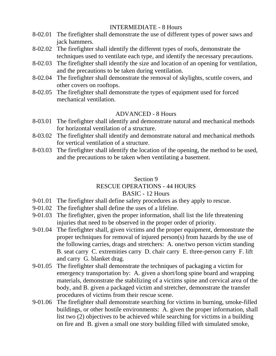# INTERMEDIATE - 8 Hours

- 8-02.01 The firefighter shall demonstrate the use of different types of power saws and jack hammers.
- 8-02.02 The firefighter shall identify the different types of roofs, demonstrate the techniques used to ventilate each type, and identify the necessary precautions.
- 8-02.03 The firefighter shall identify the size and location of an opening for ventilation, and the precautions to be taken during ventilation.
- 8-02.04 The firefighter shall demonstrate the removal of skylights, scuttle covers, and other covers on rooftops.
- 8-02.05 The firefighter shall demonstrate the types of equipment used for forced mechanical ventilation.

# ADVANCED - 8 Hours

- 8-03.01 The firefighter shall identify and demonstrate natural and mechanical methods for horizontal ventilation of a structure.
- 8-03.02 The firefighter shall identify and demonstrate natural and mechanical methods for vertical ventilation of a structure.
- 8-03.03 The firefighter shall identify the location of the opening, the method to be used, and the precautions to be taken when ventilating a basement.

# Section 9

# RESCUE OPERATIONS - 44 HOURS

# BASIC - 12 Hours

- 9-01.01 The firefighter shall define safety procedures as they apply to rescue.
- 9-01.02 The firefighter shall define the uses of a lifeline.
- 9-01.03 The firefighter, given the proper information, shall list the life threatening injuries that need to be observed in the proper order of priority.
- 9-01.04 The firefighter shall, given victims and the proper equipment, demonstrate the proper techniques for removal of injured person(s) from hazards by the use of the following carries, drags and stretchers: A. one/two person victim standing B. seat carry C. extremities carry D. chair carry E. three-person carry F. lift and carry G. blanket drag.
- 9-01.05 The firefighter shall demonstrate the techniques of packaging a victim for emergency transportation by: A. given a short/long spine board and wrapping materials, demonstrate the stabilizing of a victims spine and cervical area of the body, and B. given a packaged victim and stretcher, demonstrate the transfer procedures of victims from their rescue scene.
- 9-01.06 The firefighter shall demonstrate searching for victims in burning, smoke-filled buildings, or other hostile environments: A. given the proper information, shall list two (2) objectives to be achieved while searching for victims in a building on fire and B. given a small one story building filled with simulated smoke,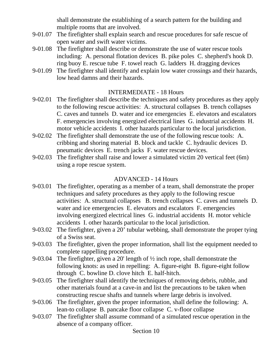shall demonstrate the establishing of a search pattern for the building and multiple rooms that are involved.

- 9-01.07 The firefighter shall explain search and rescue procedures for safe rescue of open water and swift water victims.
- 9-01.08 The firefighter shall describe or demonstrate the use of water rescue tools including: A. personal flotation devices B. pike poles C. shepherd's hook D. ring buoy E. rescue tube F. towel reach G. ladders H. dragging devices
- 9-01.09 The firefighter shall identify and explain low water crossings and their hazards, low head damns and their hazards.

# INTERMEDIATE - 18 Hours

- 9-02.01 The firefighter shall describe the techniques and safety procedures as they apply to the following rescue activities: A. structural collapses B. trench collapses C. caves and tunnels D. water and ice emergencies E. elevators and escalators F. emergencies involving energized electrical lines G. industrial accidents H. motor vehicle accidents I. other hazards particular to the local jurisdiction.
- 9-02.02 The firefighter shall demonstrate the use of the following rescue tools: A. cribbing and shoring material B. block and tackle C. hydraulic devices D. pneumatic devices E. trench jacks F. water rescue devices.
- 9-02.03 The firefighter shall raise and lower a simulated victim 20 vertical feet (6m) using a rope rescue system.

# ADVANCED - 14 Hours

- 9-03.01 The firefighter, operating as a member of a team, shall demonstrate the proper techniques and safety procedures as they apply to the following rescue activities: A. structural collapses B. trench collapses C. caves and tunnels D. water and ice emergencies E. elevators and escalators F. emergencies involving energized electrical lines G. industrial accidents H. motor vehicle accidents I. other hazards particular to the local jurisdiction.
- 9-03.02 The firefighter, given a 20' tubular webbing, shall demonstrate the proper tying of a Swiss seat.
- 9-03.03 The firefighter, given the proper information, shall list the equipment needed to complete rappelling procedure.
- 9-03.04 The firefighter, given a 20' length of ½ inch rope, shall demonstrate the following knots: as used in repelling: A. figure-eight B. figure-eight follow through C. bowline D. clove hitch E. half-hitch.
- 9-03.05 The firefighter shall identify the techniques of removing debris, rubble, and other materials found at a cave-in and list the precautions to be taken when constructing rescue shafts and tunnels where large debris is involved.
- 9-03.06 The firefighter, given the proper information, shall define the following: A. lean-to collapse B. pancake floor collapse C. v-floor collapse
- 9-03.07 The firefighter shall assume command of a simulated rescue operation in the absence of a company officer.

Section 10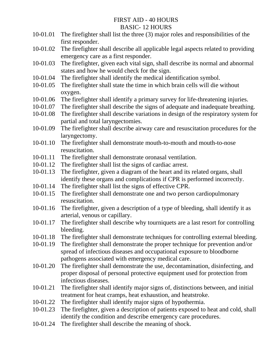# FIRST AID - 40 HOURS BASIC- 12 HOURS

- 10-01.01 The firefighter shall list the three (3) major roles and responsibilities of the first responder.
- 10-01.02 The firefighter shall describe all applicable legal aspects related to providing emergency care as a first responder.
- 10-01.03 The firefighter, given each vital sign, shall describe its normal and abnormal states and how he would check for the sign.
- 10-01.04 The firefighter shall identify the medical identification symbol.
- 10-01.05 The firefighter shall state the time in which brain cells will die without oxygen.
- 10-01.06 The firefighter shall identify a primary survey for life-threatening injuries.
- 10-01.07 The firefighter shall describe the signs of adequate and inadequate breathing.
- 10-01.08 The firefighter shall describe variations in design of the respiratory system for partial and total laryngectomies.
- 10-01.09 The firefighter shall describe airway care and resuscitation procedures for the laryngectomy.
- 10-01.10 The firefighter shall demonstrate mouth-to-mouth and mouth-to-nose resuscitation.
- 10-01.11 The firefighter shall demonstrate oronasal ventilation.
- 10-01.12 The firefighter shall list the signs of cardiac arrest.
- 10-01.13 The firefighter, given a diagram of the heart and its related organs, shall identify these organs and complications if CPR is performed incorrectly.
- 10-01.14 The firefighter shall list the signs of effective CPR.
- 10-01.15 The firefighter shall demonstrate one and two person cardiopulmonary resuscitation.
- 10-01.16 The firefighter, given a description of a type of bleeding, shall identify it as arterial, venous or capillary.
- 10-01.17 The firefighter shall describe why tourniquets are a last resort for controlling bleeding.
- 10-01.18 The firefighter shall demonstrate techniques for controlling external bleeding.
- 10-01.19 The firefighter shall demonstrate the proper technique for prevention and/or spread of infectious diseases and occupational exposure to bloodborne pathogens associated with emergency medical care.
- 10-01.20 The firefighter shall demonstrate the use, decontamination, disinfecting, and proper disposal of personal protective equipment used for protection from infectious diseases.
- 10-01.21 The firefighter shall identify major signs of, distinctions between, and initial treatment for heat cramps, heat exhaustion, and heatstroke.
- 10-01.22 The firefighter shall identify major signs of hypothermia.
- 10-01.23 The firefighter, given a description of patients exposed to heat and cold, shall identify the condition and describe emergency care procedures.
- 10-01.24 The firefighter shall describe the meaning of shock.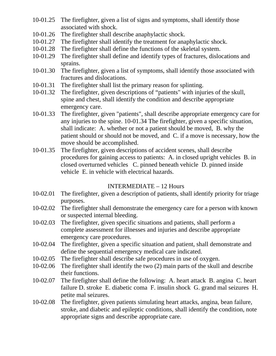- 10-01.25 The firefighter, given a list of signs and symptoms, shall identify those associated with shock.
- 10-01.26 The firefighter shall describe anaphylactic shock.
- 10-01.27 The firefighter shall identify the treatment for anaphylactic shock.
- 10-01.28 The firefighter shall define the functions of the skeletal system.
- 10-01.29 The firefighter shall define and identify types of fractures, dislocations and sprains.
- 10-01.30 The firefighter, given a list of symptoms, shall identify those associated with fractures and dislocations.
- 10-01.31 The firefighter shall list the primary reason for splinting.
- 10-01.32 The firefighter, given descriptions of "patients" with injuries of the skull, spine and chest, shall identify the condition and describe appropriate emergency care.
- 10-01.33 The firefighter, given "patients", shall describe appropriate emergency care for any injuries to the spine. 10-01.34 The firefighter, given a specific situation, shall indicate: A. whether or not a patient should be moved, B. why the patient should or should not be moved, and C. if a move is necessary, how the move should be accomplished.
- 10-01.35 The firefighter, given descriptions of accident scenes, shall describe procedures for gaining access to patients: A. in closed upright vehicles B. in closed overturned vehicles C. pinned beneath vehicle D. pinned inside vehicle E. in vehicle with electrical hazards.

# INTERMEDIATE – 12 Hours

- 10-02.01 The firefighter, given a description of patients, shall identify priority for triage purposes.
- 10-02.02 The firefighter shall demonstrate the emergency care for a person with known or suspected internal bleeding.
- 10-02.03 The firefighter, given specific situations and patients, shall perform a complete assessment for illnesses and injuries and describe appropriate emergency care procedures.
- 10-02.04 The firefighter, given a specific situation and patient, shall demonstrate and define the sequential emergency medical care indicated.
- 10-02.05 The firefighter shall describe safe procedures in use of oxygen.
- 10-02.06 The firefighter shall identify the two (2) main parts of the skull and describe their functions.
- 10-02.07 The firefighter shall define the following: A. heart attack B. angina C. heart failure D. stroke E. diabetic coma F. insulin shock G. grand mal seizures H. petite mal seizures.
- 10-02.08 The firefighter, given patients simulating heart attacks, angina, bean failure, stroke, and diabetic and epileptic conditions, shall identify the condition, note appropriate signs and describe appropriate care.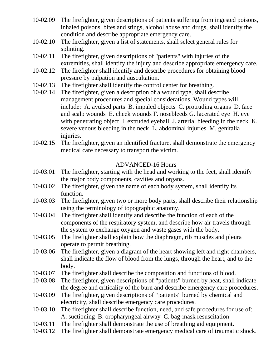- 10-02.09 The firefighter, given descriptions of patients suffering from ingested poisons, inhaled poisons, bites and stings, alcohol abuse and drugs, shall identify the condition and describe appropriate emergency care.
- 10-02.10 The firefighter, given a list of statements, shall select general rules for splinting.
- 10-02.11 The firefighter, given descriptions of "patients" with injuries of the extremities, shall identify the injury and describe appropriate emergency care.
- 10-02.12 The firefighter shall identify and describe procedures for obtaining blood pressure by palpation and auscultation.
- 10-02.13 The firefighter shall identify the control center for breathing.
- 10-02.14 The firefighter, given a description of a wound type, shall describe management procedures and special considerations. Wound types will include: A. avulsed parts B. impaled objects C. protruding organs D. face and scalp wounds E. cheek wounds F. nosebleeds G. lacerated eye H. eye with penetrating object I. extruded eyeball J. arterial bleeding in the neck K. severe venous bleeding in the neck L. abdominal injuries M. genitalia injuries.
- 10-02.15 The firefighter, given an identified fracture, shall demonstrate the emergency medical care necessary to transport the victim.

# ADVANCED-16 Hours

- 10-03.01 The firefighter, starting with the head and working to the feet, shall identify the major body components, cavities and organs.
- 10-03.02 The firefighter, given the name of each body system, shall identify its function.
- 10-03.03 The firefighter, given two or more body parts, shall describe their relationship using the terminology of topographic anatomy.
- 10-03.04 The firefighter shall identify and describe the function of each of the components of the respiratory system, and describe how air travels through the system to exchange oxygen and waste gases with the body.
- 10-03.05 The firefighter shall explain how the diaphragm, rib muscles and pleura operate to permit breathing.
- 10-03.06 The firefighter, given a diagram of the heart showing left and right chambers, shall indicate the flow of blood from the lungs, through the heart, and to the body.
- 10-03.07 The firefighter shall describe the composition and functions of blood.
- 10-03.08 The firefighter, given descriptions of "patients" burned by heat, shall indicate the degree and criticality of the burn and describe emergency care procedures.
- 10-03.09 The firefighter, given descriptions of "patients" burned by chemical and electricity, shall describe emergency care procedures.
- 10-03.10 The firefighter shall describe function, need, and safe procedures for use of: A. suctioning B. oropharyngeal airway C. bag-mask resuscitation
- 10-03.11 The firefighter shall demonstrate the use of breathing aid equipment.
- 10-03.12 The firefighter shall demonstrate emergency medical care of traumatic shock.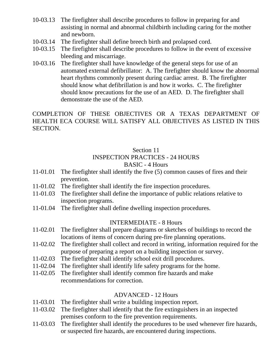- 10-03.13 The firefighter shall describe procedures to follow in preparing for and assisting in normal and abnormal childbirth including caring for the mother and newborn.
- 10-03.14 The firefighter shall define breech birth and prolapsed cord.
- 10-03.15 The firefighter shall describe procedures to follow in the event of excessive bleeding and miscarriage.
- 10-03.16 The firefighter shall have knowledge of the general steps for use of an automated external defibrillator: A. The firefighter should know the abnormal heart rhythms commonly present during cardiac arrest. B. The firefighter should know what defibrillation is and how it works. C. The firefighter should know precautions for the use of an AED. D. The firefighter shall demonstrate the use of the AED.

COMPLETION OF THESE OBJECTIVES OR A TEXAS DEPARTMENT OF HEALTH ECA COURSE WILL SATISFY ALL OBJECTIVES AS LISTED IN THIS SECTION.

# Section 11

# INSPECTION PRACTICES - 24 HOURS

# BASIC - 4 Hours

- 11-01.01 The firefighter shall identify the five (5) common causes of fires and their prevention.
- 11-01.02 The firefighter shall identify the fire inspection procedures.
- 11-01.03 The firefighter shall define the importance of public relations relative to inspection programs.
- 11-01.04 The firefighter shall define dwelling inspection procedures.

# INTERMEDIATE - 8 Hours

- 11-02.01 The firefighter shall prepare diagrams or sketches of buildings to record the locations of items of concern during pre-fire planning operations.
- 11-02.02 The firefighter shall collect and record in writing, information required for the purpose of preparing a report on a building inspection or survey.
- 11-02.03 The firefighter shall identify school exit drill procedures.
- 11-02.04 The firefighter shall identify life safety programs for the home.
- 11-02.05 The firefighter shall identify common fire hazards and make recommendations for correction.

# ADVANCED - 12 Hours

- 11-03.01 The firefighter shall write a building inspection report.
- 11-03.02 The firefighter shall identify that the fire extinguishers in an inspected premises conform to the fire prevention requirements.
- 11-03.03 The firefighter shall identify the procedures to be used whenever fire hazards, or suspected fire hazards, are encountered during inspections.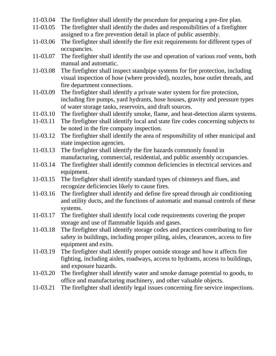- 11-03.04 The firefighter shall identify the procedure for preparing a pre-fire plan.
- 11-03.05 The firefighter shall identify the dudes and responsibilities of a firefighter assigned to a fire prevention detail in place of public assembly.
- 11-03.06 The firefighter shall identify the fire exit requirements for different types of occupancies.
- 11-03.07 The firefighter shall identify the use and operation of various roof vents, both manual and automatic.
- 11-03.08 The firefighter shall inspect standpipe systems for fire protection, including visual inspection of hose (where provided), nozzles, hose outlet threads, and fire department connections.
- 11-03.09 The firefighter shall identify a private water system for fire protection, including fire pumps, yard hydrants, hose houses, gravity and pressure types of water storage tanks, reservoirs, and draft sources.
- 11-03.10 The firefighter shall identify smoke, flame, and heat-detection alarm systems.
- 11-03.11 The firefighter shall identify local and state fire codes concerning subjects to be noted in the fire company inspection.
- 11-03.12 The firefighter shall identify the area of responsibility of other municipal and state inspection agencies.
- 11-03.13 The firefighter shall identify the fire hazards commonly found in manufacturing, commercial, residential, and public assembly occupancies.
- 11-03.14 The firefighter shall identify common deficiencies in electrical services and equipment.
- 11-03.15 The firefighter shall identify standard types of chimneys and flues, and recognize deficiencies likely to cause fires.
- 11-03.16 The firefighter shall identify and define fire spread through air conditioning and utility ducts, and the functions of automatic and manual controls of these systems.
- 11-03.17 The firefighter shall identify local code requirements covering the proper storage and use of flammable liquids and gases.
- 11-03.18 The firefighter shall identify storage codes and practices contributing to fire safety in buildings, including proper piling, aisles, clearances, access to fire equipment and exits.
- 11-03.19 The firefighter shall identify proper outside storage and how it affects fire fighting, including aisles, roadways, access to hydrants, access to buildings, and exposure hazards.
- 11-03.20 The firefighter shall identify water and smoke damage potential to goods, to office and manufacturing machinery, and other valuable objects.
- 11-03.21 The firefighter shall identify legal issues concerning fire service inspections.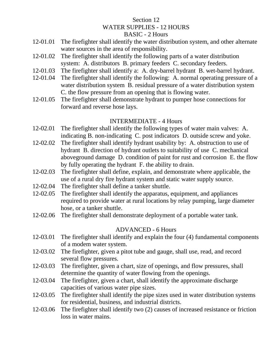# Section 12 WATER SUPPLIES - 12 HOURS BASIC - 2 Hours

- 12-01.01 The firefighter shall identify the water distribution system, and other alternate water sources in the area of responsibility.
- 12-01.02 The firefighter shall identify the following parts of a water distribution system: A. distributors B. primary feeders C. secondary feeders.
- 12-01.03 The firefighter shall identify a: A. dry-barrel hydrant B. wet-barrel hydrant.
- 12-01.04 The firefighter shall identify the following: A. normal operating pressure of a water distribution system B. residual pressure of a water distribution system C. the flow pressure from an opening that is flowing water.
- 12-01.05 The firefighter shall demonstrate hydrant to pumper hose connections for forward and reverse hose lays.

# INTERMEDIATE - 4 Hours

- 12-02.01 The firefighter shall identify the following types of water main valves: A. indicating B. non-indicating C. post indicators D. outside screw and yoke.
- 12-02.02 The firefighter shall identify hydrant usability by: A. obstruction to use of hydrant B. direction of hydrant outlets to suitability of use C. mechanical aboveground damage D. condition of paint for rust and corrosion E. the flow by fully operating the hydrant F. the ability to drain.
- 12-02.03 The firefighter shall define, explain, and demonstrate where applicable, the use of a rural dry fire hydrant system and static water supply source.
- 12-02.04 The firefighter shall define a tanker shuttle.
- 12-02.05 The firefighter shall identify the apparatus, equipment, and appliances required to provide water at rural locations by relay pumping, large diameter hose, or a tanker shuttle.
- 12-02.06 The firefighter shall demonstrate deployment of a portable water tank.

# ADVANCED - 6 Hours

- 12-03.01 The firefighter shall identify and explain the four (4) fundamental components of a modem water system.
- 12-03.02 The firefighter, given a pitot tube and gauge, shall use, read, and record several flow pressures.
- 12-03.03 The firefighter, given a chart, size of openings, and flow pressures, shall determine the quantity of water flowing from the openings.
- 12-03.04 The firefighter, given a chart, shall identify the approximate discharge capacities of various water pipe sizes.
- 12-03.05 The firefighter shall identify the pipe sizes used in water distribution systems for residential, business, and industrial districts.
- 12-03.06 The firefighter shall identify two (2) causes of increased resistance or friction loss in water mains.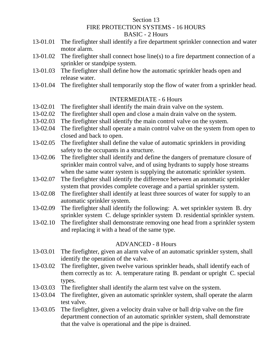### Section 13 FIRE PROTECTION SYSTEMS - 16 HOURS BASIC - 2 Hours

- 13-01.01 The firefighter shall identify a fire department sprinkler connection and water motor alarm.
- 13-01.02 The firefighter shall connect hose line(s) to a fire department connection of a sprinkler or standpipe system.
- 13-01.03 The firefighter shall define how the automatic sprinkler heads open and release water.
- 13-01.04 The firefighter shall temporarily stop the flow of water from a sprinkler head.

# INTERMEDIATE - 6 Hours

- 13-02.01 The firefighter shall identify the main drain valve on the system.
- 13-02.02 The firefighter shall open and close a main drain valve on the system.
- 13-02.03 The firefighter shall identify the main control valve on the system.
- 13-02.04 The firefighter shall operate a main control valve on the system from open to closed and back to open.
- 13-02.05 The firefighter shall define the value of automatic sprinklers in providing safety to the occupants in a structure.
- 13-02.06 The firefighter shall identify and define the dangers of premature closure of sprinkler main control valve, and of using hydrants to supply hose streams when the same water system is supplying the automatic sprinkler system.
- 13-02.07 The firefighter shall identify the difference between an automatic sprinkler system that provides complete coverage and a partial sprinkler system.
- 13-02.08 The firefighter shall identify at least three sources of water for supply to an automatic sprinkler system.
- 13-02.09 The firefighter shall identify the following: A. wet sprinkler system B. dry sprinkler system C. deluge sprinkler system D. residential sprinkler system.
- 13-02.10 The firefighter shall demonstrate removing one head from a sprinkler system and replacing it with a head of the same type.

# ADVANCED - 8 Hours

- 13-03.01 The firefighter, given an alarm valve of an automatic sprinkler system, shall identify the operation of the valve.
- 13-03.02 The firefighter, given twelve various sprinkler heads, shall identify each of them correctly as to: A. temperature rating B. pendant or upright C. special types.
- 13-03.03 The firefighter shall identify the alarm test valve on the system.
- 13-03.04 The firefighter, given an automatic sprinkler system, shall operate the alarm test valve.
- 13-03.05 The firefighter, given a velocity drain valve or ball drip valve on the fire department connection of an automatic sprinkler system, shall demonstrate that the valve is operational and the pipe is drained.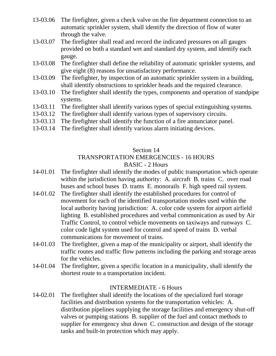- 13-03.06 The firefighter, given a check valve on the fire department connection to an automatic sprinkler system, shall identify the direction of flow of water through the valve.
- 13-03.07 The firefighter shall read and record the indicated pressures on all gauges provided on both a standard wet and standard dry system, and identify each gauge.
- 13-03.08 The firefighter shall define the reliability of automatic sprinkler systems, and give eight (8) reasons for unsatisfactory performance.
- 13-03.09 The firefighter, by inspection of an automatic sprinkler system in a building, shall identify obstructions to sprinkler heads and the required clearance.
- 13-03.10 The firefighter shall identify the types, components and operation of standpipe systems.
- 13-03.11 The firefighter shall identify various types of special extinguishing systems.
- 13-03.12 The firefighter shall identify various types of supervisory circuits.
- 13-03.13 The firefighter shall identify the function of a fire annunciator panel.
- 13-03.14 The firefighter shall identify various alarm initiating devices.

# Section 14

#### TRANSPORTATION EMERGENCIES - 16 HOURS BASIC - 2 Hours

- 14-01.01 The firefighter shall identify the modes of public transportation which operate within the jurisdiction having authority: A. aircraft B. trains C. over road buses and school buses D. trams E. monorails F. high speed rail system.
- 14-01.02 The firefighter shall identify the established procedures for control of movement for each of the identified transportation modes used within the local authority having jurisdiction: A. color code system for airport airfield lighting B. established procedures and verbal communication as used by Air Traffic Control, to control vehicle movements on taxiways and runways C. color code light system used for control and speed of trains D. verbal communications for movement of trains.
- 14-01.03 The firefighter, given a map of the municipality or airport, shall identify the traffic routes and traffic flow patterns including the parking and storage areas for the vehicles.
- 14-01.04 The firefighter, given a specific location in a municipality, shall identify the shortest route to a transportation incident.

# INTERMEDIATE - 6 Hours

14-02.01 The firefighter shall identify the locations of the specialized fuel storage facilities and distribution systems for the transportation vehicles: A. distribution pipelines supplying the storage facilities and emergency shut-off valves or pumping stations B. supplier of the fuel and contact methods to supplier for emergency shut down C. construction and design of the storage tanks and built-in protection which may apply.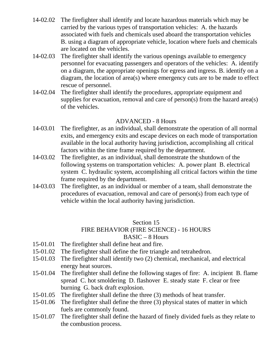- 14-02.02 The firefighter shall identify and locate hazardous materials which may be carried by the various types of transportation vehicles: A. the hazards associated with fuels and chemicals used aboard the transportation vehicles B. using a diagram of appropriate vehicle, location where fuels and chemicals are located on the vehicles.
- 14-02.03 The firefighter shall identify the various openings available to emergency personnel for evacuating passengers and operators of the vehicles: A. identify on a diagram, the appropriate openings for egress and ingress. B. identify on a diagram, the location of area(s) where emergency cuts are to be made to effect rescue of personnel.
- 14-02.04 The firefighter shall identify the procedures, appropriate equipment and supplies for evacuation, removal and care of person(s) from the hazard area(s) of the vehicles.

# ADVANCED - 8 Hours

- 14-03.01 The firefighter, as an individual, shall demonstrate the operation of all normal exits, and emergency exits and escape devices on each mode of transportation available in the local authority having jurisdiction, accomplishing all critical factors within the time frame required by the department.
- 14-03.02 The firefighter, as an individual, shall demonstrate the shutdown of the following systems on transportation vehicles: A. power plant B. electrical system C. hydraulic system, accomplishing all critical factors within the time frame required by the department.
- 14-03.03 The firefighter, as an individual or member of a team, shall demonstrate the procedures of evacuation, removal and care of person(s) from each type of vehicle within the local authority having jurisdiction.

# Section 15

# FIRE BEHAVIOR (FIRE SCIENCE) - 16 HOURS

### BASIC – 8 Hours

- 15-01.01 The firefighter shall define heat and fire.
- 15-01.02 The firefighter shall define the fire triangle and tetrahedron.
- 15-01.03 The firefighter shall identify two (2) chemical, mechanical, and electrical energy heat sources.
- 15-01.04 The firefighter shall define the following stages of fire: A. incipient B. flame spread C. hot smoldering D. flashover E. steady state F. clear or free burning G. back draft explosion.
- 15-01.05 The firefighter shall define the three (3) methods of heat transfer.
- 15-01.06 The firefighter shall define the three (3) physical states of matter in which fuels are commonly found.
- 15-01.07 The firefighter shall define the hazard of finely divided fuels as they relate to the combustion process.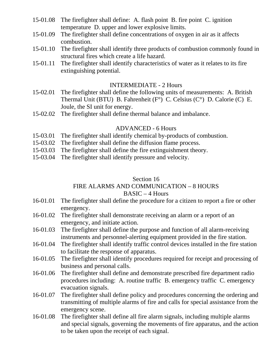- 15-01.08 The firefighter shall define: A. flash point B. fire point C. ignition temperature D. upper and lower explosive limits.
- 15-01.09 The firefighter shall define concentrations of oxygen in air as it affects combustion.
- 15-01.10 The firefighter shall identify three products of combustion commonly found in structural fires which create a life hazard.
- 15-01.11 The firefighter shall identify characteristics of water as it relates to its fire extinguishing potential.

#### INTERMEDIATE - 2 Hours

- 15-02.01 The firefighter shall define the following units of measurements: A. British Thermal Unit (BTU) B. Fahrenheit (F°) C. Celsius (C°) D. Calorie (C) E. Joule, the SI unit for energy.
- 15-02.02 The firefighter shall define thermal balance and imbalance.

# ADVANCED - 6 Hours

- 15-03.01 The firefighter shall identify chemical by-products of combustion.
- 15-03.02 The firefighter shall define the diffusion flame process.
- 15-03.03 The firefighter shall define the fire extinguishment theory.
- 15-03.04 The firefighter shall identify pressure and velocity.

#### Section 16

#### FIRE ALARMS AND COMMUNICATION – 8 HOURS  $BASIC - 4$  Hours

- 16-01.01 The firefighter shall define the procedure for a citizen to report a fire or other emergency.
- 16-01.02 The firefighter shall demonstrate receiving an alarm or a report of an emergency, and initiate action.
- 16-01.03 The firefighter shall define the purpose and function of all alarm-receiving instruments and personnel-alerting equipment provided in the fire station.
- 16-01.04 The firefighter shall identify traffic control devices installed in the fire station to facilitate the response of apparatus.
- 16-01.05 The firefighter shall identify procedures required for receipt and processing of business and personal calls.
- 16-01.06 The firefighter shall define and demonstrate prescribed fire department radio procedures including: A. routine traffic B. emergency traffic C. emergency evacuation signals.
- 16-01.07 The firefighter shall define policy and procedures concerning the ordering and transmitting of multiple alarms of fire and calls for special assistance from the emergency scene.
- 16-01.08 The firefighter shall define all fire alarm signals, including multiple alarms and special signals, governing the movements of fire apparatus, and the action to be taken upon the receipt of each signal.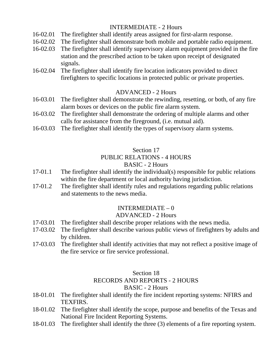# INTERMEDIATE - 2 Hours

- 16-02.01 The firefighter shall identify areas assigned for first-alarm response.
- 16-02.02 The firefighter shall demonstrate both mobile and portable radio equipment.
- 16-02.03 The firefighter shall identify supervisory alarm equipment provided in the fire station and the prescribed action to be taken upon receipt of designated signals.
- 16-02.04 The firefighter shall identify fire location indicators provided to direct firefighters to specific locations in protected public or private properties.

# ADVANCED - 2 Hours

- 16-03.01 The firefighter shall demonstrate the rewinding, resetting, or both, of any fire alarm boxes or devices on the public fire alarm system.
- 16-03.02 The firefighter shall demonstrate the ordering of multiple alarms and other calls for assistance from the fireground, (i.e. mutual aid).
- 16-03.03 The firefighter shall identify the types of supervisory alarm systems.

# Section 17

# PUBLIC RELATIONS - 4 HOURS

# BASIC - 2 Hours

- 17-01.1 The firefighter shall identify the individual(s) responsible for public relations within the fire department or local authority having jurisdiction.
- 17-01.2 The firefighter shall identify rules and regulations regarding public relations and statements to the news media.

# $INTERMEDIATE - 0$

# ADVANCED - 2 Hours

- 17-03.01 The firefighter shall describe proper relations with the news media.
- 17-03.02 The firefighter shall describe various public views of firefighters by adults and by children.
- 17-03.03 The firefighter shall identify activities that may not reflect a positive image of the fire service or fire service professional.

# Section 18

# RECORDS AND REPORTS - 2 HOURS

# BASIC - 2 Hours

- 18-01.01 The firefighter shall identify the fire incident reporting systems: NFIRS and TEXFIRS.
- 18-01.02 The firefighter shall identify the scope, purpose and benefits of the Texas and National Fire Incident Reporting Systems.
- 18-01.03 The firefighter shall identify the three (3) elements of a fire reporting system.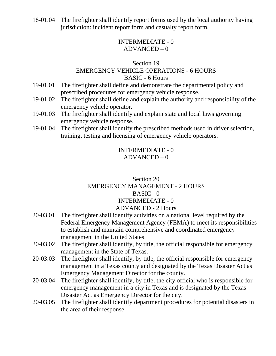18-01.04 The firefighter shall identify report forms used by the local authority having jurisdiction: incident report form and casualty report form.

# INTERMEDIATE - 0  $ADVANCED - 0$

### Section 19

# EMERGENCY VEHICLE OPERATIONS - 6 HOURS

#### BASIC - 6 Hours

- 19-01.01 The firefighter shall define and demonstrate the departmental policy and prescribed procedures for emergency vehicle response.
- 19-01.02 The firefighter shall define and explain the authority and responsibility of the emergency vehicle operator.
- 19-01.03 The firefighter shall identify and explain state and local laws governing emergency vehicle response.
- 19-01.04 The firefighter shall identify the prescribed methods used in driver selection, training, testing and licensing of emergency vehicle operators.

# INTERMEDIATE - 0  $ADVANCED - 0$

# Section 20 EMERGENCY MANAGEMENT - 2 HOURS  $BASIC - 0$ INTERMEDIATE - 0 ADVANCED - 2 Hours

- 20-03.01 The firefighter shall identify activities on a national level required by the Federal Emergency Management Agency (FEMA) to meet its responsibilities to establish and maintain comprehensive and coordinated emergency management in the United States.
- 20-03.02 The firefighter shall identify, by title, the official responsible for emergency management in the State of Texas.
- 20-03.03 The firefighter shall identify, by title, the official responsible for emergency management in a Texas county and designated by the Texas Disaster Act as Emergency Management Director for the county.
- 20-03.04 The firefighter shall identify, by title, the city official who is responsible for emergency management in a city in Texas and is designated by the Texas Disaster Act as Emergency Director for the city.
- 20-03.05 The firefighter shall identify department procedures for potential disasters in the area of their response.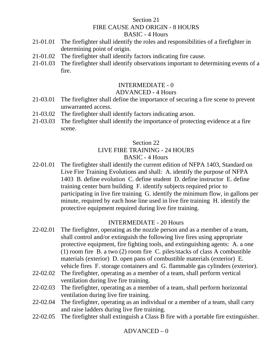# Section 21 FIRE CAUSE AND ORIGIN - 8 HOURS BASIC - 4 Hours

- 21-01.01 The firefighter shall identify the roles and responsibilities of a firefighter in determining point of origin.
- 21-01.02 The firefighter shall identify factors indicating fire cause.
- 21-01.03 The firefighter shall identify observations important to determining events of a fire.

# INTERMEDIATE - 0

# ADVANCED - 4 Hours

- 21-03.01 The firefighter shall define the importance of securing a fire scene to prevent unwarranted access.
- 21-03.02 The firefighter shall identify factors indicating arson.
- 21-03.03 The firefighter shall identify the importance of protecting evidence at a fire scene.

# Section 22 LIVE FIRE TRAINING - 24 HOURS BASIC - 4 Hours

22-01.01 The firefighter shall identify the current edition of NFPA 1403, Standard on Live Fire Training Evolutions and shall: A. identify the purpose of NFPA 1403 B. define evolution C. define student D. define instructor E. define training center burn building F. identify subjects required prior to participating in live fire training G. identify the minimum flow, in gallons per minute, required by each hose line used in live fire training H. identify the protective equipment required during live fire training.

# INTERMEDIATE - 20 Hours

- 22-02.01 The firefighter, operating as the nozzle person and as a member of a team, shall control and/or extinguish the following live fires using appropriate protective equipment, fire fighting tools, and extinguishing agents: A. a one (1) room fire B. a two (2) room fire C. piles/stacks of class A combustible materials (exterior) D. open pans of combustible materials (exterior) E. vehicle fires F. storage containers and G. flammable gas cylinders (exterior).
- 22-02.02 The firefighter, operating as a member of a team, shall perform vertical ventilation during live fire training.
- 22-02.03 The firefighter, operating as a member of a team, shall perform horizontal ventilation during live fire training.
- 22-02.04 The firefighter, operating as an individual or a member of a team, shall carry and raise ladders during live fire training.
- 22-02.05 The firefighter shall extinguish a Class B fire with a portable fire extinguisher.

# $ADVANCED - 0$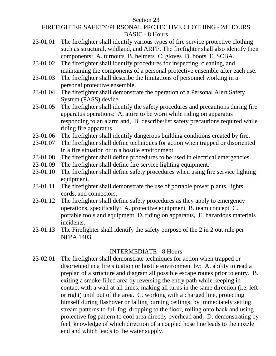Section 23

# FIREFIGHTER SAFETY/PERSONAL PROTECTIVE CLOTHING - 28 HOURS BASIC - 8 Hours

- 23-01.01 The firefighter shall identify various types of fire service protective clothing such as structural, wildland, and ARFF. The firefighter shall also identify their components: A. turnouts B. helmets C. gloves D. boots E. SCBA.
- 23-01.02 The firefighter shall identify procedures for inspecting, cleaning, and maintaining the components of a personal protective ensemble after each use.
- 23-01.03 The firefighter shall describe the limitations of personnel working in a personal protective ensemble.
- 23-01.04 The firefighter shall demonstrate the operation of a Personal Alert Safety System (PASS) device.
- 23-01.05 The firefighter shall identify the safety procedures and precautions during fire apparatus operations: A. attire to be worn while riding on apparatus responding to an alarm and, B. describe/list safety precautions required while riding fire apparatus
- 23-01.06 The firefighter shall identify dangerous building conditions created by fire.
- 23-01.07 The firefighter shall define techniques for action when trapped or disoriented in a fire situation or in a hostile environment.
- 23-01.08 The firefighter shall define procedures to be used in electrical emergencies.
- 23-01.09 The firefighter shall define fire service lighting equipment.
- 23-01.10 The firefighter shall define safety procedures when using fire service lighting equipment.
- 23-01.11 The firefighter shall demonstrate the use of portable power plants, lights, cords, and connectors.
- 23-01.12 The firefighter shall define safety procedures as they apply to emergency operations, specifically: A. protective equipment B. team concept C. portable tools and equipment D. riding on apparatus, E. hazardous materials incidents.
- 23-01.13 The Firefighter shall identify the safety purpose of the 2 in 2 out rule per NFPA 1403.

# INTERMEDIATE - 8 Hours

23-02.01 The firefighter shall demonstrate techniques for action when trapped or disoriented in a fire situation or hostile environment by: A. ability to read a preplan of a structure and diagram all possible escape routes prior to entry. B. exiting a smoke filled area by reversing the entry path while keeping in contact with a wall at all times, making all turns in the same direction (i.e. left or right) until out of the area. C. working with a charged line, protecting himself during flashover or falling burning ceilings, by immediately setting stream patterns to full fog, dropping to the floor, rolling onto back and using protective fog pattern to cool area directly overhead and, D. demonstrating by feel, knowledge of which direction of a coupled hose line leads to the nozzle end and which leads to the water supply.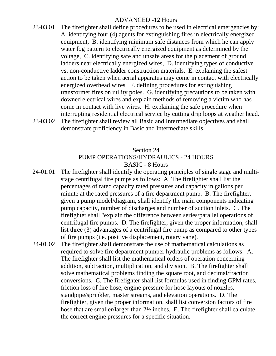### ADVANCED -12 Hours

- 23-03.01 The firefighter shall define procedures to be used in electrical emergencies by: A. identifying four (4) agents for extinguishing fires in electrically energized equipment, B. identifying minimum safe distances from which he can apply water fog pattern to electrically energized equipment as determined by the voltage, C. identifying safe and unsafe areas for the placement of ground ladders near electrically energized wires, D. identifying types of conductive vs. non-conductive ladder construction materials, E. explaining the safest action to be taken when aerial apparatus may come in contact with electrically energized overhead wires, F. defining procedures for extinguishing transformer fires on utility poles. G. identifying precautions to be taken with downed electrical wires and explain methods of removing a victim who has come in contact with live wires. H. explaining the safe procedure when interrupting residential electrical service by cutting drip loops at weather head.
- 23-03.02 The firefighter shall review all Basic and Intermediate objectives and shall demonstrate proficiency in Basic and Intermediate skills.

### Section 24 PUMP OPERATIONS/HYDRAULICS - 24 HOURS BASIC - 8 Hours

- 24-01.01 The firefighter shall identify the operating principles of single stage and multistage centrifugal fire pumps as follows: A. The firefighter shall list the percentages of rated capacity rated pressures and capacity in gallons per minute at the rated pressures of a fire department pump. B. The firefighter, given a pump model/diagram, shall identify the main components indicating pump capacity, number of discharges and number of suction inlets. C. The firefighter shall "explain the difference between series/parallel operations of centrifugal fire pumps. D. The firefighter, given the proper information, shall list three (3) advantages of a centrifugal fire pump as compared to other types of fire pumps (i.e. positive displacement, rotary vane).
- 24-01.02 The firefighter shall demonstrate the use of mathematical calculations as required to solve fire department pumper hydraulic problems as follows: A. The firefighter shall list the mathematical orders of operation concerning addition, subtraction, multiplication, and division. B. The firefighter shall solve mathematical problems finding the square root, and decimal/fraction conversions. C. The firefighter shall list formulas used in finding GPM rates, friction loss of fire hose, engine pressure for hose layouts of nozzles, standpipe/sprinkler, master streams, and elevation operations. D. The firefighter, given the proper information, shall list conversion factors of fire hose that are smaller/larger than 2½ inches. E. The firefighter shall calculate the correct engine pressures for a specific situation.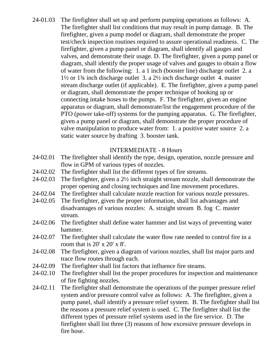24-01.03 The firefighter shall set up and perform pumping operations as follows: A. The firefighter shall list conditions that may result in pump damage. B. The firefighter, given a pump model or diagram, shall demonstrate the proper test/check inspection routines required to assure operational readiness. C. The firefighter, given a pump panel or diagram, shall identify all gauges and valves, and demonstrate their usage. D. The firefighter, given a pump panel or diagram, shall identify the proper usage of valves and gauges to obtain a flow of water from the following: 1. a 1 inch (booster line) discharge outlet 2. a 1½ or 1¾ inch discharge outlet 3. a 2½ inch discharge outlet 4. master stream discharge outlet (if applicable). E. The firefighter, given a pump panel or diagram, shall demonstrate the proper technique of hooking up or connecting intake hoses to the pumps. F. The firefighter, given an engine apparatus or diagram, shall demonstrate/list the engagement procedure of the PTO (power take-off) systems for the pumping apparatus. G. The firefighter, given a pump panel or diagram, shall demonstrate the proper procedure of valve manipulation to produce water from: 1. a positive water source 2. a static water source by drafting 3. booster tank.

# INTERMEDIATE - 8 Hours

- 24-02.01 The firefighter shall identify the type, design, operation, nozzle pressure and flow in GPM of various types of nozzles.
- 24-02.02 The firefighter shall list the different types of fire streams.
- 24-02.03 The firefighter, given a 2½ inch straight stream nozzle, shall demonstrate the proper opening and closing techniques and line movement procedures.
- 24-02.04 The firefighter shall calculate nozzle reaction for various nozzle pressures.
- 24-02.05 The firefighter, given the proper information, shall list advantages and disadvantages of various nozzles: A. straight stream B. fog C. master stream.
- 24-02.06 The firefighter shall define water hammer and list ways of preventing water hammer.
- 24-02.07 The firefighter shall calculate the water flow rate needed to control fire in a room that is  $20' \times 20' \times 8'$ .
- 24-02.08 The firefighter, given a diagram of various nozzles, shall list major parts and trace flow routes through each.
- 24-02.09 The firefighter shall list factors that influence fire steams.
- 24-02.10 The firefighter shall list the proper procedures for inspection and maintenance of fire fighting nozzles.
- 24-02.11 The firefighter shall demonstrate the operations of the pumper pressure relief system and/or pressure control valve as follows: A. The firefighter, given a pump panel, shall identify a pressure relief system. B. The firefighter shall list the reasons a pressure relief system is used. C. The firefighter shall list the different types of pressure relief systems used in the fire service. D. The firefighter shall list three (3) reasons of how excessive pressure develops in fire hose.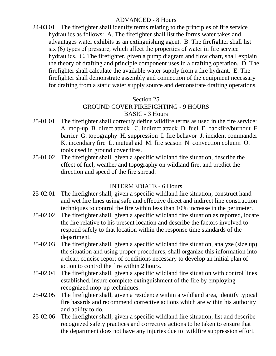# ADVANCED - 8 Hours

24-03.01 The firefighter shall identify terms relating to the principles of fire service hydraulics as follows: A. The firefighter shall list the forms water takes and advantages water exhibits as an extinguishing agent. B. The firefighter shall list six (6) types of pressure, which affect the properties of water in fire service hydraulics. C. The firefighter, given a pump diagram and flow chart, shall explain the theory of drafting and principle component uses in a drafting operation. D. The firefighter shall calculate the available water supply from a fire hydrant. E. The firefighter shall demonstrate assembly and connection of the equipment necessary for drafting from a static water supply source and demonstrate drafting operations.

#### Section 25

### GROUND COVER FIREFIGHTING - 9 HOURS BASIC - 3 Hours

- 25-01.01 The firefighter shall correctly define wildfire terms as used in the fire service: A. mop-up B. direct attack C. indirect attack D. fuel E. backfire/burnout F. barrier G. topography H. suppression I. fire behavor J. incident commander K. incendiary fire L. mutual aid M. fire season N. convection column O. tools used in ground cover fires.
- 25-01.02 The firefighter shall, given a specific wildland fire situation, describe the effect of fuel, weather and topography on wildland fire, and predict the direction and speed of the fire spread.

# INTERMEDIATE - 6 Hours

- 25-02.01 The firefighter shall, given a specific wildland fire situation, construct hand and wet fire lines using safe and effective direct and indirect line construction techniques to control the fire within less than 10% increase in the perimeter.
- 25-02.02 The firefighter shall, given a specific wildland fire situation as reported, locate the fire relative to his present location and describe the factors involved to respond safely to that location within the response time standards of the department.
- 25-02.03 The firefighter shall, given a specific wildland fire situation, analyze (size up) the situation and using proper procedures, shall organize this information into a clear, concise report of conditions necessary to develop an initial plan of action to control the fire within 2 hours.
- 25-02.04 The firefighter shall, given a specific wildland fire situation with control lines established, insure complete extinguishment of the fire by employing recognized mop-up techniques.
- 25-02.05 The firefighter shall, given a residence within a wildland area, identify typical fire hazards and recommend corrective actions which are within his authority and ability to do.
- 25-02.06 The firefighter shall, given a specific wildland fire situation, list and describe recognized safety practices and corrective actions to be taken to ensure that the department does not have any injuries due to wildfire suppression effort.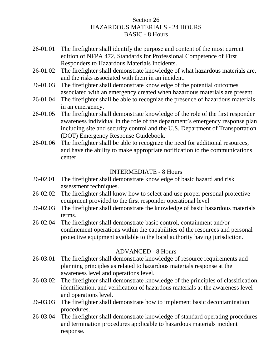# Section 26 HAZARDOUS MATERIALS - 24 HOURS BASIC - 8 Hours

- 26-01.01 The firefighter shall identify the purpose and content of the most current edition of NFPA 472, Standards for Professional Competence of First Responders to Hazardous Materials Incidents.
- 26-01.02 The firefighter shall demonstrate knowledge of what hazardous materials are, and the risks associated with them in an incident.
- 26-01.03 The firefighter shall demonstrate knowledge of the potential outcomes associated with an emergency created when hazardous materials are present.
- 26-01.04 The firefighter shall be able to recognize the presence of hazardous materials in an emergency.
- 26-01.05 The firefighter shall demonstrate knowledge of the role of the first responder awareness individual in the role of the department's emergency response plan including site and security control and the U.S. Department of Transportation (DOT) Emergency Response Guidebook.
- 26-01.06 The firefighter shall be able to recognize the need for additional resources, and have the ability to make appropriate notification to the communications center.

# INTERMEDIATE - 8 Hours

- 26-02.01 The firefighter shall demonstrate knowledge of basic hazard and risk assessment techniques.
- 26-02.02 The firefighter shall know how to select and use proper personal protective equipment provided to the first responder operational level.
- 26-02.03 The firefighter shall demonstrate the knowledge of basic hazardous materials terms.
- 26-02.04 The firefighter shall demonstrate basic control, containment and/or confinement operations within the capabilities of the resources and personal protective equipment available to the local authority having jurisdiction.

# ADVANCED - 8 Hours

- 26-03.01 The firefighter shall demonstrate knowledge of resource requirements and planning principles as related to hazardous materials response at the awareness level and operations level.
- 26-03.02 The firefighter shall demonstrate knowledge of the principles of classification, identification, and verification of hazardous materials at the awareness level and operations level.
- 26-03.03 The firefighter shall demonstrate how to implement basic decontamination procedures.
- 26-03.04 The firefighter shall demonstrate knowledge of standard operating procedures and termination procedures applicable to hazardous materials incident response.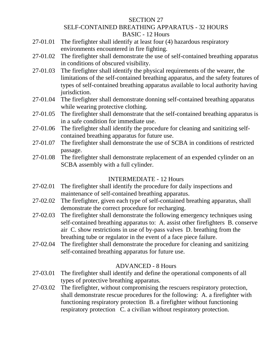#### SECTION 27

# SELF-CONTAINED BREATHING APPARATUS - 32 HOURS BASIC - 12 Hours

- 27-01.01 The firefighter shall identify at least four (4) hazardous respiratory environments encountered in fire fighting.
- 27-01.02 The firefighter shall demonstrate the use of self-contained breathing apparatus in conditions of obscured visibility.
- 27-01.03 The firefighter shall identify the physical requirements of the wearer, the limitations of the self-contained breathing apparatus, and the safety features of types of self-contained breathing apparatus available to local authority having jurisdiction.
- 27-01.04 The firefighter shall demonstrate donning self-contained breathing apparatus while wearing protective clothing.
- 27-01.05 The firefighter shall demonstrate that the self-contained breathing apparatus is in a safe condition for immediate use.
- 27-01.06 The firefighter shall identify the procedure for cleaning and sanitizing selfcontained breathing apparatus for future use.
- 27-01.07 The firefighter shall demonstrate the use of SCBA in conditions of restricted passage.
- 27-01.08 The firefighter shall demonstrate replacement of an expended cylinder on an SCBA assembly with a full cylinder.

# INTERMEDIATE - 12 Hours

- 27-02.01 The firefighter shall identify the procedure for daily inspections and maintenance of self-contained breathing apparatus.
- 27-02.02 The firefighter, given each type of self-contained breathing apparatus, shall demonstrate the correct procedure for recharging.
- 27-02.03 The firefighter shall demonstrate the following emergency techniques using self-contained breathing apparatus to: A. assist other firefighters B. conserve air C. show restrictions in use of by-pass valves D. breathing from the breathing tube or regulator in the event of a face piece failure.
- 27-02.04 The firefighter shall demonstrate the procedure for cleaning and sanitizing self-contained breathing apparatus for future use.

# ADVANCED - 8 Hours

- 27-03.01 The firefighter shall identify and define the operational components of all types of protective breathing apparatus.
- 27-03.02 The firefighter, without compromising the rescuers respiratory protection, shall demonstrate rescue procedures for the following: A. a firefighter with functioning respiratory protection B. a firefighter without functioning respiratory protection C. a civilian without respiratory protection.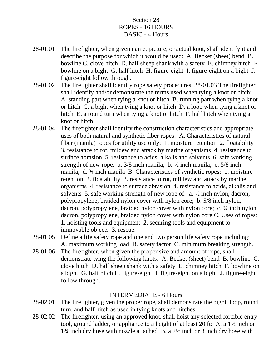# Section 28 ROPES - 16 HOURS BASIC - 4 Hours

- 28-01.01 The firefighter, when given name, picture, or actual knot, shall identify it and describe the purpose for which it would be used: A. Becket (sheet) bend B. bowline C. clove hitch D. half sheep shank with a safety E. chimney hitch F. bowline on a bight G. half hitch H. figure-eight I. figure-eight on a bight J. figure-eight follow through.
- 28-01.02 The firefighter shall identify rope safety procedures. 28-01.03 The firefighter shall identify and/or demonstrate the terms used when tying a knot or hitch: A. standing part when tying a knot or hitch B. running part when tying a knot or hitch C. a bight when tying a knot or hitch D. a loop when tying a knot or hitch E. a round turn when tying a knot or hitch F. half hitch when tying a knot or hitch.
- 28-01.04 The firefighter shall identify the construction characteristics and appropriate uses of both natural and synthetic fiber ropes: A. Characteristics of natural fiber (manila) ropes for utility use only: 1. moisture retention 2. floatability 3. resistance to rot, mildew and attack by marine organisms 4. resistance to surface abrasion 5. resistance to acids, alkalis and solvents 6. safe working strength of new rope: a.  $3/8$  inch manila, b.  $\frac{1}{2}$  inch manila, c.  $5/8$  inch manila, d. ¾ inch manila B. Characteristics of synthetic ropes: 1. moisture retention 2. floatability 3. resistance to rot, mildew and attack by marine organisms 4. resistance to surface abrasion 4. resistance to acids, alkalis and solvents 5. safe working strength of new rope of: a. ½ inch nylon, dacron, polypropylene, braided nylon cover with nylon core; b. 5/8 inch nylon, dacron, polypropylene, braided nylon cover with nylon core; c.  $\frac{3}{4}$  inch nylon, dacron, polypropylene, braided nylon cover with nylon core C. Uses of ropes: 1. hoisting tools and equipment 2. securing tools and equipment to immovable objects 3. rescue.
- 28-01.05 Define a life safety rope and one and two person life safety rope including: A. maximum working load B. safety factor C. minimum breaking strength.
- 28-01.06 The firefighter, when given the proper size and amount of rope, shall demonstrate tying the following knots: A. Becket (sheet) bend B. bowline C. clove hitch D. half sheep shank with a safety E. chimney hitch F. bowline on a bight G. half hitch H. figure-eight I. figure-eight on a bight J. figure-eight follow through.

# INTERMEDIATE - 6 Hours

- 28-02.01 The firefighter, given the proper rope, shall demonstrate the bight, loop, round turn, and half hitch as used in tying knots and hitches.
- 28-02.02 The firefighter, using an approved knot, shall hoist any selected forcible entry tool, ground ladder, or appliance to a height of at least 20 ft: A. a 1½ inch or 1¾ inch dry hose with nozzle attached B. a 2½ inch or 3 inch dry hose with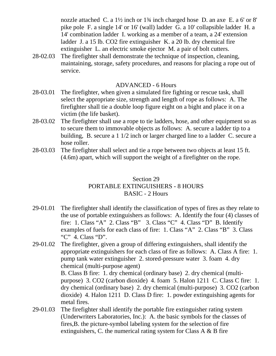nozzle attached C. a 1½ inch or 1¾ inch charged hose D. an axe E. a 6' or 8' pike pole F. a single 14' or 16' (wall) ladder G. a 10' collapsible ladder H. a 14' combination ladder I. working as a member of a team, a 24' extension ladder J. a 15 lb. CO2 fire extinguisher K. a 20 lb. dry chemical fire extinguisher L. an electric smoke ejector M. a pair of bolt cutters.

28-02.03 The firefighter shall demonstrate the technique of inspection, cleaning, maintaining, storage, safety procedures, and reasons for placing a rope out of service.

#### ADVANCED - 6 Hours

- 28-03.01 The firefighter, when given a simulated fire fighting or rescue task, shall select the appropriate size, strength and length of rope as follows: A. The firefighter shall tie a double loop figure eight on a bight and place it on a victim (the life basket).
- 28-03.02 The firefighter shall use a rope to tie ladders, hose, and other equipment so as to secure them to immovable objects as follows: A. secure a ladder tip to a building, B. secure a 1 1/2 inch or larger charged line to a ladder C. secure a hose roller.
- 28-03.03 The firefighter shall select and tie a rope between two objects at least 15 ft. (4.6m) apart, which will support the weight of a firefighter on the rope.

# Section 29 PORTABLE EXTINGUISHERS - 8 HOURS BASIC - 2 Hours

- 29-01.01 The firefighter shall identify the classification of types of fires as they relate to the use of portable extinguishers as follows: A. Identify the four (4) classes of fire: 1. Class "A" 2. Class "B" 3. Class "C" 4. Class "D" B. Identify examples of fuels for each class of fire: 1. Class "A" 2. Class "B" 3. Class "C" 4. Class "D".
- 29-01.02 The firefighter, given a group of differing extinguishers, shall identify the appropriate extinguishers for each class of fire as follows: A. Class A fire: 1. pump tank water extinguisher 2. stored-pressure water 3. foam 4. dry chemical (multi-purpose agent) B. Class B fire: 1. dry chemical (ordinary base) 2. dry chemical (multi-

purpose) 3. CO2 (carbon dioxide) 4. foam 5. Halon 1211 C. Class C fire: 1. dry chemical (ordinary base) 2. dry chemical (multi-purpose) 3. CO2 (carbon dioxide) 4. Halon 1211 D. Class D fire: 1. powder extinguishing agents for metal fires.

29-01.03 The firefighter shall identify the portable fire extinguisher rating system (Underwriters Laboratories, Inc.): A. the basic symbols for the classes of fires,B. the picture-symbol labeling system for the selection of fire extinguishers, C. the numerical rating system for Class A  $\&$  B fire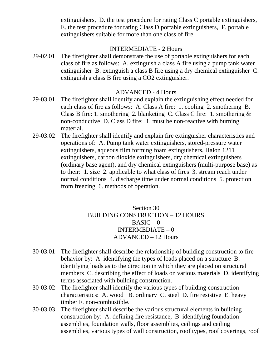extinguishers, D. the test procedure for rating Class C portable extinguishers, E. the test procedure for rating Class D portable extinguishers, F. portable extinguishers suitable for more than one class of fire.

# INTERMEDIATE - 2 Hours

29-02.01 The firefighter shall demonstrate the use of portable extinguishers for each class of fire as follows: A. extinguish a class A fire using a pump tank water extinguisher B. extinguish a class B fire using a dry chemical extinguisher C. extinguish a class B fire using a CO2 extinguisher.

#### ADVANCED - 4 Hours

- 29-03.01 The firefighter shall identify and explain the extinguishing effect needed for each class of fire as follows: A. Class A fire: 1. cooling 2. smothering B. Class B fire: 1. smothering 2. blanketing C. Class C fire: 1. smothering & non-conductive D. Class D fire: 1. must be non-reactive with burning material.
- 29-03.02 The firefighter shall identify and explain fire extinguisher characteristics and operations of: A. Pump tank water extinguishers, stored-pressure water extinguishers, aqueous film forming foam extinguishers, Halon 1211 extinguishers, carbon dioxide extinguishers, dry chemical extinguishers (ordinary base agent), and dry chemical extinguishers (multi-purpose base) as to their: 1. size 2. applicable to what class of fires 3. stream reach under normal conditions 4. discharge time under normal conditions 5. protection from freezing 6. methods of operation.

# Section 30 BUILDING CONSTRUCTION – 12 HOURS  $BASIC - 0$ INTERMEDIATE – 0 ADVANCED – 12 Hours

- 30-03.01 The firefighter shall describe the relationship of building construction to fire behavior by: A. identifying the types of loads placed on a structure B. identifying loads as to the direction in which they are placed on structural members C. describing the effect of loads on various materials D. identifying terms associated with building construction.
- 30-03.02 The firefighter shall identify the various types of building construction characteristics: A. wood B. ordinary C. steel D. fire resistive E. heavy timber F. non-combustible.
- 30-03.03 The firefighter shall describe the various structural elements in building construction by: A. defining fire resistance, B. identifying foundation assemblies, foundation walls, floor assemblies, ceilings and ceiling assemblies, various types of wall construction, roof types, roof coverings, roof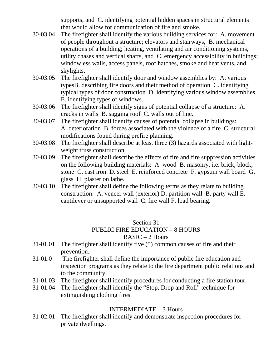supports, and C. identifying potential hidden spaces in structural elements that would allow for communication of fire and smoke.

- 30-03.04 The firefighter shall identify the various building services for: A. movement of people throughout a structure; elevators and stairways, B. mechanical operations of a building; heating, ventilating and air conditioning systems, utility chases and vertical shafts, and C. emergency accessibility in buildings; windowless walls, access panels, roof hatches, smoke and heat vents, and skylights.
- 30-03.05 The firefighter shall identify door and window assemblies by: A. various typesB. describing fire doors and their method of operation C. identifying typical types of door construction D. identifying various window assemblies E. identifying types of windows.
- 30-03.06 The firefighter shall identify signs of potential collapse of a structure: A. cracks in walls B. sagging roof C. walls out of line.
- 30-03.07 The firefighter shall identify causes of potential collapse in buildings: A. deterioration B. forces associated with the violence of a fire C. structural modifications found during prefire planning.
- 30-03.08 The firefighter shall describe at least three (3) hazards associated with lightweight truss construction.
- 30-03.09 The firefighter shall describe the effects of fire and fire suppression activities on the following building materials: A. wood B. masonry, i.e. brick, block, stone C. cast iron D. steel E. reinforced concrete F. gypsum wall board G. glass H. plaster on lathe.
- 30-03.10 The firefighter shall define the following terms as they relate to building construction: A. veneer wall (exterior) D. partition wall B. party wall E. cantilever or unsupported wall C. fire wall F. load bearing.

#### Section 31 PUBLIC FIRE EDUCATION – 8 HOURS  $BASIC - 2$  Hours

- 31-01.01 The firefighter shall identify five (5) common causes of fire and their prevention.
- 31-01.0 The firefighter shall define the importance of public fire education and inspection programs as they relate to the fire department public relations and to the community.
- 31-01.03 The firefighter shall identify procedures for conducting a fire station tour.
- 31-01.04 The firefighter shall identify the "Stop, Drop and Roll" technique for extinguishing clothing fires.

# INTERMEDIATE – 3 Hours

31-02.01 The firefighter shall identify and demonstrate inspection procedures for private dwellings.